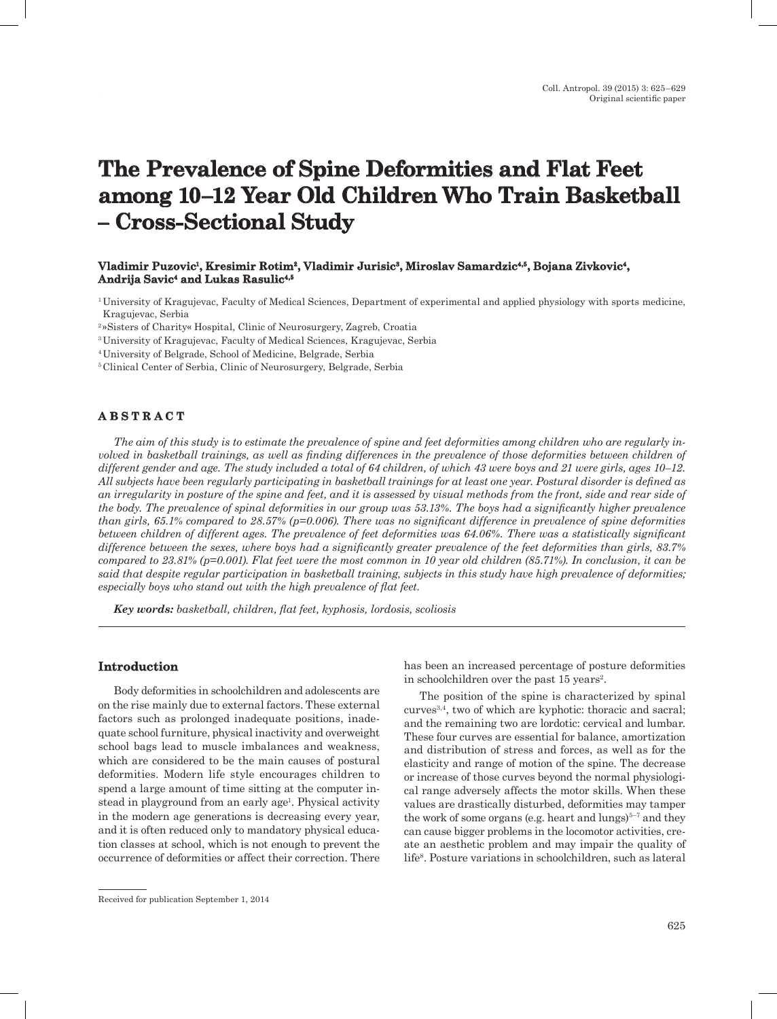# **The Prevalence of Spine Deformities and Flat Feet among 10–12 Year Old Children Who Train Basketball – Cross-Sectional Study**

### **Vladimir Puzovic1, Kresimir Rotim2, Vladimir Jurisic3, Miroslav Samardzic4,5, Bojana Zivkovic4, Andrija Savic4 and Lukas Rasulic4,5**

1 University of Kragujevac, Faculty of Medical Sciences, Department of experimental and applied physiology with sports medicine, Kragujevac, Serbia

2 »Sisters of Charity« Hospital, Clinic of Neurosurgery, Zagreb, Croatia

3 University of Kragujevac, Faculty of Medical Sciences, Kragujevac, Serbia

4 University of Belgrade, School of Medicine, Belgrade, Serbia

5 Clinical Center of Serbia, Clinic of Neurosurgery, Belgrade, Serbia

# **A B S T R A C T**

*The aim of this study is to estimate the prevalence of spine and feet deformities among children who are regularly involved in basketball trainings, as well as finding differences in the prevalence of those deformities between children of different gender and age. The study included a total of 64 children, of which 43 were boys and 21 were girls, ages 10–12. All subjects have been regularly participating in basketball trainings for at least one year. Postural disorder is defined as an irregularity in posture of the spine and feet, and it is assessed by visual methods from the front, side and rear side of the body. The prevalence of spinal deformities in our group was 53.13%. The boys had a significantly higher prevalence than girls, 65.1% compared to 28.57% (p=0.006). There was no significant difference in prevalence of spine deformities between children of different ages. The prevalence of feet deformities was 64.06%. There was a statistically significant difference between the sexes, where boys had a significantly greater prevalence of the feet deformities than girls, 83.7% compared to 23.81% (p=0.001). Flat feet were the most common in 10 year old children (85.71%). In conclusion, it can be said that despite regular participation in basketball training, subjects in this study have high prevalence of deformities; especially boys who stand out with the high prevalence of flat feet.*

*Key words: basketball, children, flat feet, kyphosis, lordosis, scoliosis*

### **Introduction**

Body deformities in schoolchildren and adolescents are on the rise mainly due to external factors. These external factors such as prolonged inadequate positions, inadequate school furniture, physical inactivity and overweight school bags lead to muscle imbalances and weakness, which are considered to be the main causes of postural deformities. Modern life style encourages children to spend a large amount of time sitting at the computer instead in playground from an early age<sup>1</sup>. Physical activity in the modern age generations is decreasing every year, and it is often reduced only to mandatory physical education classes at school, which is not enough to prevent the occurrence of deformities or affect their correction. There

has been an increased percentage of posture deformities in schoolchildren over the past 15 years<sup>2</sup>.

The position of the spine is characterized by spinal curves3,4, two of which are kyphotic: thoracic and sacral; and the remaining two are lordotic: cervical and lumbar. These four curves are essential for balance, amortization and distribution of stress and forces, as well as for the elasticity and range of motion of the spine. The decrease or increase of those curves beyond the normal physiological range adversely affects the motor skills. When these values are drastically disturbed, deformities may tamper the work of some organs (e.g. heart and lungs)<sup> $5-7$ </sup> and they can cause bigger problems in the locomotor activities, create an aesthetic problem and may impair the quality of life8. Posture variations in schoolchildren, such as lateral

Received for publication September 1, 2014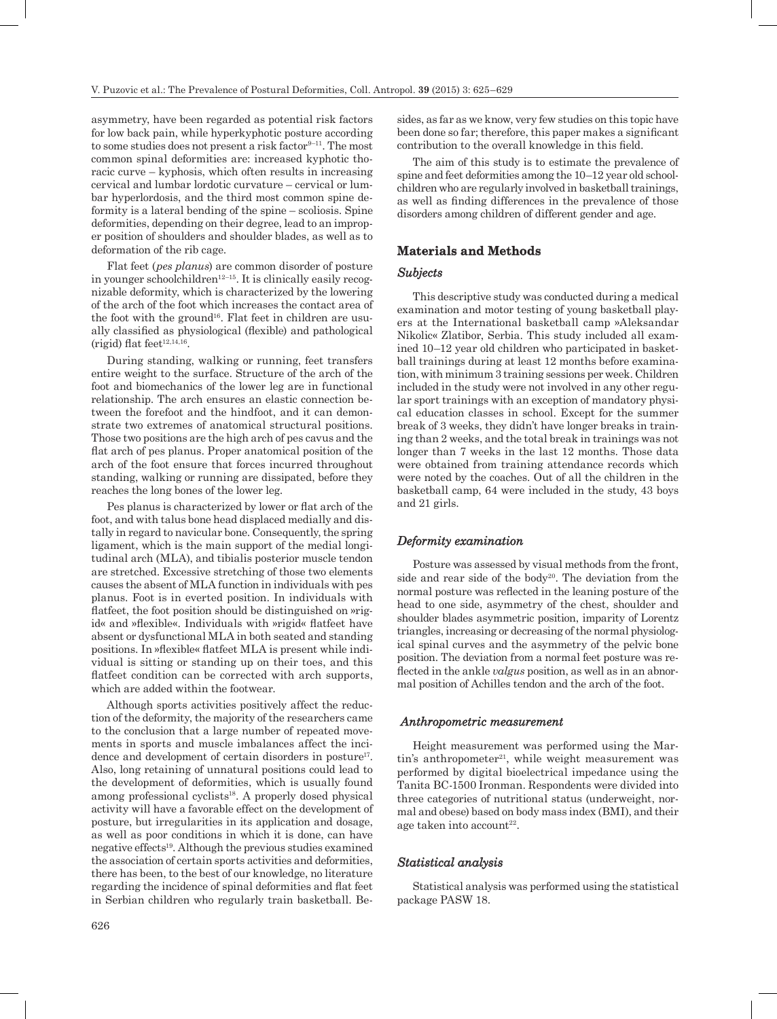asymmetry, have been regarded as potential risk factors for low back pain, while hyperkyphotic posture according to some studies does not present a risk factor  $9-11$ . The most common spinal deformities are: increased kyphotic thoracic curve – kyphosis, which often results in increasing cervical and lumbar lordotic curvature – cervical or lumbar hyperlordosis, and the third most common spine deformity is a lateral bending of the spine – scoliosis. Spine deformities, depending on their degree, lead to an improper position of shoulders and shoulder blades, as well as to deformation of the rib cage.

Flat feet (*pes planus*) are common disorder of posture in younger schoolchildren<sup>12–15</sup>. It is clinically easily recognizable deformity, which is characterized by the lowering of the arch of the foot which increases the contact area of the foot with the ground<sup>16</sup>. Flat feet in children are usually classified as physiological (flexible) and pathological (rigid) flat feet $12,14,16$ .

During standing, walking or running, feet transfers entire weight to the surface. Structure of the arch of the foot and biomechanics of the lower leg are in functional relationship. The arch ensures an elastic connection between the forefoot and the hindfoot, and it can demonstrate two extremes of anatomical structural positions. Those two positions are the high arch of pes cavus and the flat arch of pes planus. Proper anatomical position of the arch of the foot ensure that forces incurred throughout standing, walking or running are dissipated, before they reaches the long bones of the lower leg.

Pes planus is characterized by lower or flat arch of the foot, and with talus bone head displaced medially and distally in regard to navicular bone. Consequently, the spring ligament, which is the main support of the medial longitudinal arch (MLA), and tibialis posterior muscle tendon are stretched. Excessive stretching of those two elements causes the absent of MLA function in individuals with pes planus. Foot is in everted position. In individuals with flatfeet, the foot position should be distinguished on »rigid« and »flexible«. Individuals with »rigid« flatfeet have absent or dysfunctional MLA in both seated and standing positions. In »flexible« flatfeet MLA is present while individual is sitting or standing up on their toes, and this flatfeet condition can be corrected with arch supports, which are added within the footwear.

Although sports activities positively affect the reduction of the deformity, the majority of the researchers came to the conclusion that a large number of repeated movements in sports and muscle imbalances affect the incidence and development of certain disorders in posture<sup>17</sup>. Also, long retaining of unnatural positions could lead to the development of deformities, which is usually found among professional cyclists<sup>18</sup>. A properly dosed physical activity will have a favorable effect on the development of posture, but irregularities in its application and dosage, as well as poor conditions in which it is done, can have negative effects19. Although the previous studies examined the association of certain sports activities and deformities, there has been, to the best of our knowledge, no literature regarding the incidence of spinal deformities and flat feet in Serbian children who regularly train basketball. Be-

sides, as far as we know, very few studies on this topic have been done so far; therefore, this paper makes a significant contribution to the overall knowledge in this field.

The aim of this study is to estimate the prevalence of spine and feet deformities among the 10–12 year old schoolchildren who are regularly involved in basketball trainings, as well as finding differences in the prevalence of those disorders among children of different gender and age.

# **Materials and Methods**

#### *Subjects*

This descriptive study was conducted during a medical examination and motor testing of young basketball players at the International basketball camp »Aleksandar Nikolic« Zlatibor, Serbia. This study included all examined 10–12 year old children who participated in basketball trainings during at least 12 months before examination, with minimum 3 training sessions per week. Children included in the study were not involved in any other regular sport trainings with an exception of mandatory physical education classes in school. Except for the summer break of 3 weeks, they didn't have longer breaks in training than 2 weeks, and the total break in trainings was not longer than 7 weeks in the last 12 months. Those data were obtained from training attendance records which were noted by the coaches. Out of all the children in the basketball camp, 64 were included in the study, 43 boys and 21 girls.

#### *Deformity examination*

Posture was assessed by visual methods from the front, side and rear side of the body<sup>20</sup>. The deviation from the normal posture was reflected in the leaning posture of the head to one side, asymmetry of the chest, shoulder and shoulder blades asymmetric position, imparity of Lorentz triangles, increasing or decreasing of the normal physiological spinal curves and the asymmetry of the pelvic bone position. The deviation from a normal feet posture was reflected in the ankle *valgus* position, as well as in an abnormal position of Achilles tendon and the arch of the foot.

#### *Anthropometric measurement*

Height measurement was performed using the Martin's anthropometer<sup>21</sup>, while weight measurement was performed by digital bioelectrical impedance using the Tanita BC-1500 Ironman. Respondents were divided into three categories of nutritional status (underweight, normal and obese) based on body mass index (BMI), and their age taken into account<sup>22</sup>.

#### *Statistical analysis*

Statistical analysis was performed using the statistical package PASW 18.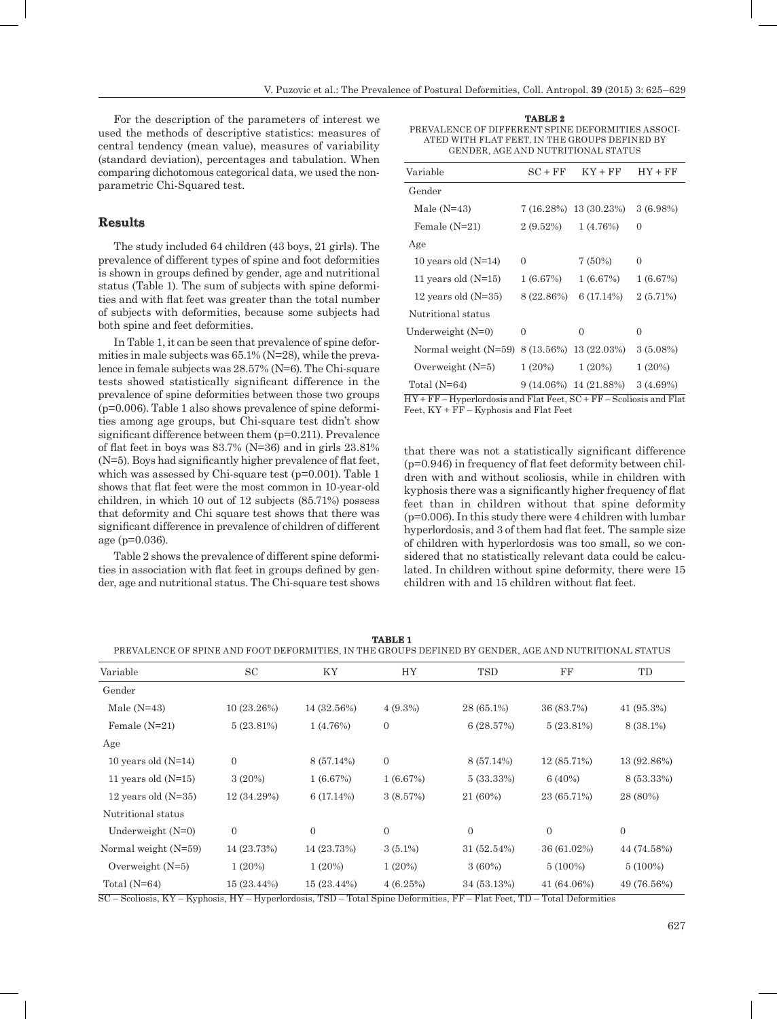For the description of the parameters of interest we used the methods of descriptive statistics: measures of central tendency (mean value), measures of variability (standard deviation), percentages and tabulation. When comparing dichotomous categorical data, we used the nonparametric Chi-Squared test.

# **Results**

The study included 64 children (43 boys, 21 girls). The prevalence of different types of spine and foot deformities is shown in groups defined by gender, age and nutritional status (Table 1). The sum of subjects with spine deformities and with flat feet was greater than the total number of subjects with deformities, because some subjects had both spine and feet deformities.

In Table 1, it can be seen that prevalence of spine deformities in male subjects was 65.1% (N=28), while the prevalence in female subjects was 28.57% (N=6). The Chi-square tests showed statistically significant difference in the prevalence of spine deformities between those two groups (p=0.006). Table 1 also shows prevalence of spine deformities among age groups, but Chi-square test didn't show significant difference between them (p=0.211). Prevalence of flat feet in boys was  $83.7\%$  (N=36) and in girls  $23.81\%$ (N=5). Boys had significantly higher prevalence of flat feet, which was assessed by Chi-square test ( $p=0.001$ ). Table 1 shows that flat feet were the most common in 10-year-old children, in which 10 out of 12 subjects (85.71%) possess that deformity and Chi square test shows that there was significant difference in prevalence of children of different age (p=0.036).

Table 2 shows the prevalence of different spine deformities in association with flat feet in groups defined by gender, age and nutritional status. The Chi-square test shows

**TABLE 2** PREVALENCE OF DIFFERENT SPINE DEFORMITIES ASSOCI-ATED WITH FLAT FEET, IN THE GROUPS DEFINED BY GENDER, AGE AND NUTRITIONAL STATUS

| Variable               | $SC + FF$  | $KY + FF$                   | $HY + FF$   |
|------------------------|------------|-----------------------------|-------------|
| Gender                 |            |                             |             |
| Male $(N=43)$          |            | 7 (16.28%) 13 (30.23%)      | 3(6.98%)    |
| Female $(N=21)$        | 2(9.52%)   | 1(4.76%)                    | 0           |
| Age                    |            |                             |             |
| 10 years old $(N=14)$  | 0          | $7(50\%)$                   | $\theta$    |
| 11 years old $(N=15)$  | 1(6.67%)   | 1(6.67%)                    | 1(6.67%)    |
| 12 years old $(N=35)$  | 8 (22.86%) | 6(17.14%)                   | 2(5.71%)    |
| Nutritional status     |            |                             |             |
| Underweight $(N=0)$    | $\Omega$   | $\theta$                    | $\Omega$    |
| Normal weight $(N=59)$ |            | 8 (13.56%) 13 (22.03%)      | $3(5.08\%)$ |
| Overweight $(N=5)$     | $1(20\%)$  | 1(20%)                      | 1(20%)      |
| Total (N=64)           |            | $9(14.06\%)$ 14 $(21.88\%)$ | 3(4.69%)    |
|                        |            |                             |             |

HY + FF – Hyperlordosis and Flat Feet, SC + FF – Scoliosis and Flat Feet, KY + FF – Kyphosis and Flat Feet

that there was not a statistically significant difference (p=0.946) in frequency of flat feet deformity between children with and without scoliosis, while in children with kyphosis there was a significantly higher frequency of flat feet than in children without that spine deformity  $(p=0.006)$ . In this study there were 4 children with lumbar hyperlordosis, and 3 of them had flat feet. The sample size of children with hyperlordosis was too small, so we considered that no statistically relevant data could be calculated. In children without spine deformity, there were 15 children with and 15 children without flat feet.

| PREVALENCE OF SPINE AND FOOT DEFORMITIES, IN THE GROUPS DEFINED BY GENDER, AGE AND NUTRITIONAL STATUS                    |                |               |              |             |             |              |  |  |
|--------------------------------------------------------------------------------------------------------------------------|----------------|---------------|--------------|-------------|-------------|--------------|--|--|
| Variable                                                                                                                 | $_{\rm SC}$    | ΚY            | HY           | TSD         | FF          | TD           |  |  |
| Gender                                                                                                                   |                |               |              |             |             |              |  |  |
| Male $(N=43)$                                                                                                            | 10(23.26%)     | 14 (32.56%)   | $4(9.3\%)$   | 28 (65.1%)  | 36 (83.7%)  | $41(95.3\%)$ |  |  |
| Female $(N=21)$                                                                                                          | 5(23.81%)      | 1(4.76%)      | $\mathbf{0}$ | 6(28.57%)   | 5(23.81%)   | 8 (38.1%)    |  |  |
| Age                                                                                                                      |                |               |              |             |             |              |  |  |
| 10 years old $(N=14)$                                                                                                    | $\overline{0}$ | 8 (57.14%)    | $\mathbf{0}$ | 8 (57.14%)  | 12 (85.71%) | 13 (92.86%)  |  |  |
| 11 years old $(N=15)$                                                                                                    | $3(20\%)$      | 1(6.67%)      | 1(6.67%)     | 5 (33.33%)  | $6(40\%)$   | 8 (53.33%)   |  |  |
| 12 years old $(N=35)$                                                                                                    | 12 (34.29%)    | 6(17.14%)     | 3(8.57%)     | 21 (60%)    | 23 (65.71%) | 28 (80%)     |  |  |
| Nutritional status                                                                                                       |                |               |              |             |             |              |  |  |
| Underweight $(N=0)$                                                                                                      | $\Omega$       | $\Omega$      | $\Omega$     | $\Omega$    | $\Omega$    | $\Omega$     |  |  |
| Normal weight $(N=59)$                                                                                                   | 14 (23.73%)    | 14 (23.73%)   | $3(5.1\%)$   | 31 (52.54%) | 36 (61.02%) | 44 (74.58%)  |  |  |
| Overweight $(N=5)$                                                                                                       | 1(20%)         | $1(20\%)$     | 1(20%)       | $3(60\%)$   | $5(100\%)$  | $5(100\%)$   |  |  |
| Total $(N=64)$                                                                                                           | $15(23.44\%)$  | $15(23.44\%)$ | 4(6.25%)     | 34 (53.13%) | 41 (64.06%) | 49 (76.56%)  |  |  |
| SC - Scoliosis, KY - Kyphosis, HY - Hyperlordosis, TSD - Total Spine Deformities, FF - Flat Feet, TD - Total Deformities |                |               |              |             |             |              |  |  |

**TABLE 1**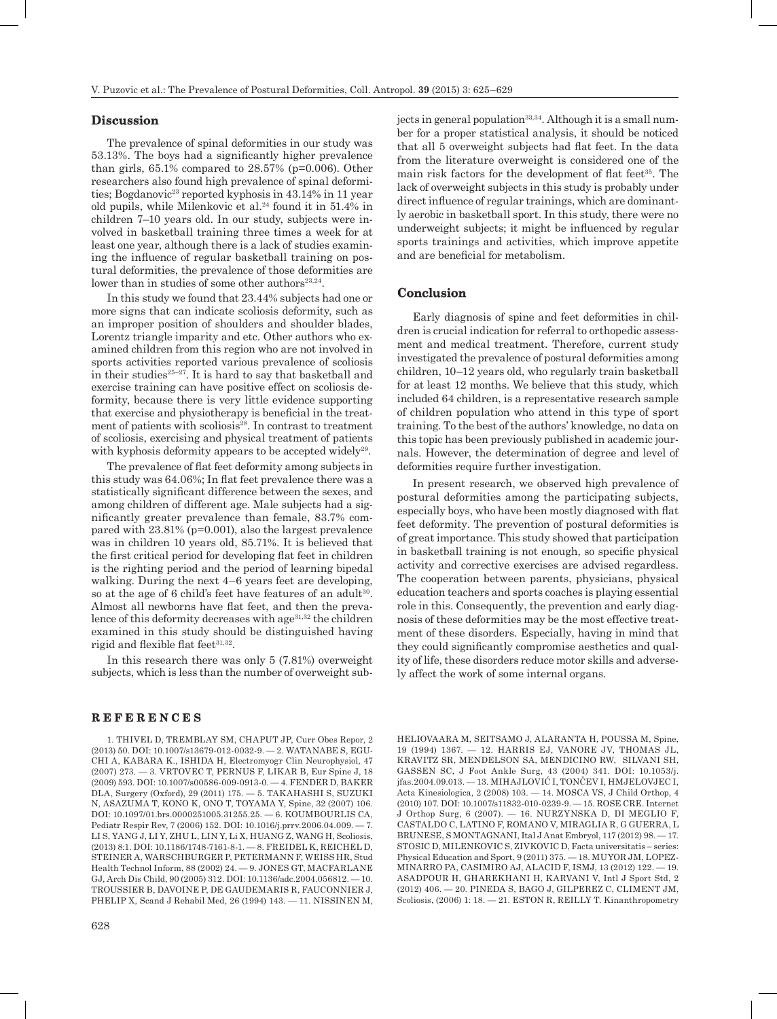#### **Discussion**

The prevalence of spinal deformities in our study was 53.13%. The boys had a significantly higher prevalence than girls,  $65.1\%$  compared to  $28.57\%$  (p=0.006). Other researchers also found high prevalence of spinal deformities; Bogdanovic<sup>23</sup> reported kyphosis in 43.14% in 11 year old pupils, while Milenkovic et al.<sup>24</sup> found it in 51.4% in children 7–10 years old. In our study, subjects were involved in basketball training three times a week for at least one year, although there is a lack of studies examining the influence of regular basketball training on postural deformities, the prevalence of those deformities are lower than in studies of some other authors<sup>23,24</sup>.

In this study we found that 23.44% subjects had one or more signs that can indicate scoliosis deformity, such as an improper position of shoulders and shoulder blades, Lorentz triangle imparity and etc. Other authors who examined children from this region who are not involved in sports activities reported various prevalence of scoliosis in their studies $25-27$ . It is hard to say that basketball and exercise training can have positive effect on scoliosis deformity, because there is very little evidence supporting that exercise and physiotherapy is beneficial in the treatment of patients with scoliosis<sup>28</sup>. In contrast to treatment of scoliosis, exercising and physical treatment of patients with kyphosis deformity appears to be accepted widely<sup>29</sup>.

The prevalence of flat feet deformity among subjects in this study was 64.06%; In flat feet prevalence there was a statistically significant difference between the sexes, and among children of different age. Male subjects had a significantly greater prevalence than female, 83.7% compared with 23.81% (p=0.001), also the largest prevalence was in children 10 years old, 85.71%. It is believed that the first critical period for developing flat feet in children is the righting period and the period of learning bipedal walking. During the next 4–6 years feet are developing, so at the age of 6 child's feet have features of an adult<sup>30</sup>. Almost all newborns have flat feet, and then the prevalence of this deformity decreases with  $age^{31,32}$  the children examined in this study should be distinguished having rigid and flexible flat feet $31,32$ .

In this research there was only 5 (7.81%) overweight subjects, which is less than the number of overweight sub-

#### **R E F E R E N C E S**

1. THIVEL D, TREMBLAY SM, CHAPUT JP, Curr Obes Repor, 2 (2013) 50. DOI: 10.1007/s13679-012-0032-9. — 2. WATANABE S, EGU-CHI A, KABARA K., ISHIDA H, Electromyogr Clin Neurophysiol, 47 (2007) 273. — 3. VRTOVEC T, PERNUS F, LIKAR B, Eur Spine J, 18 (2009) 593. DOI: 10.1007/s00586-009-0913-0. — 4. FENDER D, BAKER DLA, Surgery (Oxford), 29 (2011) 175. — 5. TAKAHASHI S, SUZUKI N, ASAZUMA T, KONO K, ONO T, TOYAMA Y, Spine, 32 (2007) 106. DOI: 10.1097/01.brs.0000251005.31255.25. — 6. KOUMBOURLIS CA, Pediatr Respir Rev, 7 (2006) 152. DOI: 10.1016/j.prrv.2006.04.009. — 7. LI S, YANG J, LI Y, ZHU L, LIN Y, Li X, HUANG Z, WANG H, Scoliosis,  $(2013)$  8:1. DOI: 10.1186/1748-7161-8-1. — 8. FREIDEL K, REICHEL D STEINER A, WARSCHBURGER P, PETERMANN F, WEISS HR, Stud Health Technol Inform, 88 (2002) 24. — 9. JONES GT, MACFARLANE GJ, Arch Dis Child, 90 (2005) 312. DOI: 10.1136/adc.2004.056812. — 10. TROUSSIER B, DAVOINE P, DE GAUDEMARIS R, FAUCONNIER J, PHELIP X, Scand J Rehabil Med, 26 (1994) 143. — 11. NISSINEN M, jects in general population<sup>33,34</sup>. Although it is a small number for a proper statistical analysis, it should be noticed that all 5 overweight subjects had flat feet. In the data from the literature overweight is considered one of the main risk factors for the development of flat feet<sup>35</sup>. The lack of overweight subjects in this study is probably under direct influence of regular trainings, which are dominantly aerobic in basketball sport. In this study, there were no underweight subjects; it might be influenced by regular sports trainings and activities, which improve appetite and are beneficial for metabolism.

#### **Conclusion**

Early diagnosis of spine and feet deformities in children is crucial indication for referral to orthopedic assessment and medical treatment. Therefore, current study investigated the prevalence of postural deformities among children, 10–12 years old, who regularly train basketball for at least 12 months. We believe that this study, which included 64 children, is a representative research sample of children population who attend in this type of sport training. To the best of the authors' knowledge, no data on this topic has been previously published in academic journals. However, the determination of degree and level of deformities require further investigation.

In present research, we observed high prevalence of postural deformities among the participating subjects, especially boys, who have been mostly diagnosed with flat feet deformity. The prevention of postural deformities is of great importance. This study showed that participation in basketball training is not enough, so specific physical activity and corrective exercises are advised regardless. The cooperation between parents, physicians, physical education teachers and sports coaches is playing essential role in this. Consequently, the prevention and early diagnosis of these deformities may be the most effective treatment of these disorders. Especially, having in mind that they could significantly compromise aesthetics and quality of life, these disorders reduce motor skills and adversely affect the work of some internal organs.

HELIOVAARA M, SEITSAMO J, ALARANTA H, POUSSA M, Spine, 19 (1994) 1367. — 12. HARRIS EJ, VANORE JV, THOMAS JL, KRAVITZ SR, MENDELSON SA, MENDICINO RW, SILVANI SH, GASSEN SC, J Foot Ankle Surg, 43 (2004) 341. DOI: 10.1053/j. jfas.2004.09.013. — 13. MIHAJLOVIĆ I, TONČEV I, HMJELOVJEC I, Acta Kinesiologica, 2 (2008) 103. — 14. MOSCA VS, J Child Orthop, 4 (2010) 107. DOI: 10.1007/s11832-010-0239-9. — 15. ROSE CRE. Internet J Orthop Surg, 6 (2007). — 16. NURZYNSKA D, DI MEGLIO F, CASTALDO C, LATINO F, ROMANO V, MIRAGLIA R, G GUERRA, L BRUNESE, S MONTAGNANI, Ital J Anat Embryol, 117 (2012) 98. — 17. STOSIC D, MILENKOVIC S, ZIVKOVIC D, Facta universitatis – series: Physical Education and Sport, 9 (2011) 375. — 18. MUYOR JM, LOPEZ-MINARRO PA, CASIMIRO AJ, ALACID F, ISMJ, 13 (2012) 122. — 19. ASADPOUR H, GHAREKHANI H, KARVANI V, Intl J Sport Std, 2 (2012) 406. — 20. PINEDA S, BAGO J, GILPEREZ C, CLIMENT JM, Scoliosis, (2006) 1: 18. — 21. ESTON R, REILLY T. Kinanthropometry